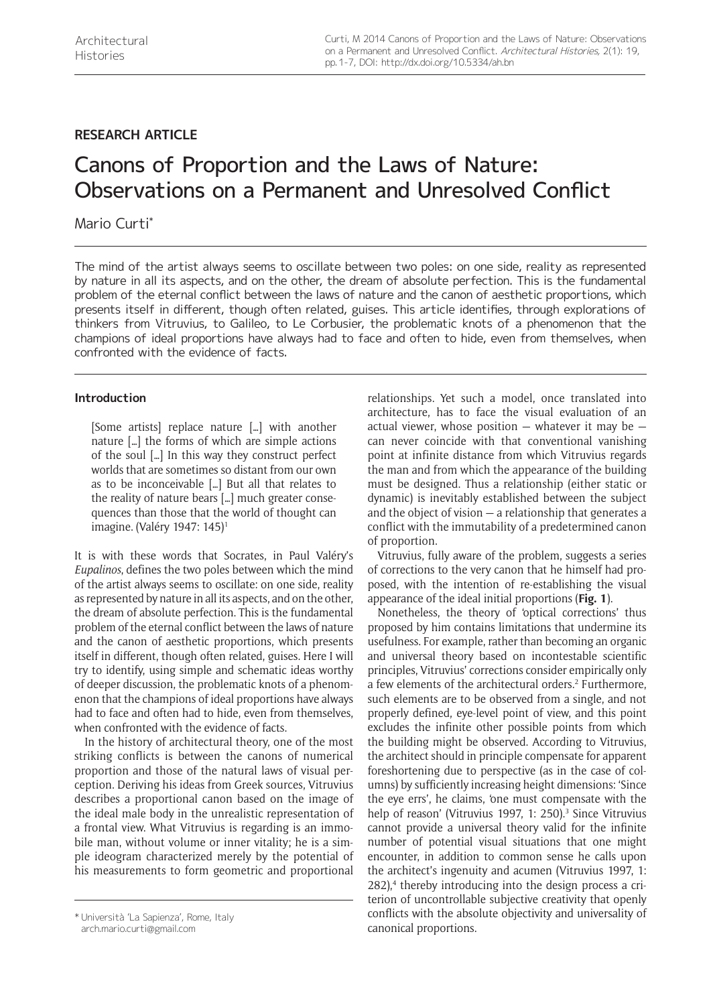## **RESEARCH ARTICLE**

# Canons of Proportion and the Laws of Nature: Observations on a Permanent and Unresolved Conflict

Mario Curti\*

The mind of the artist always seems to oscillate between two poles: on one side, reality as represented by nature in all its aspects, and on the other, the dream of absolute perfection. This is the fundamental problem of the eternal conflict between the laws of nature and the canon of aesthetic proportions, which presents itself in different, though often related, guises. This article identifies, through explorations of thinkers from Vitruvius, to Galileo, to Le Corbusier, the problematic knots of a phenomenon that the champions of ideal proportions have always had to face and often to hide, even from themselves, when confronted with the evidence of facts.

## **Introduction**

[Some artists] replace nature […] with another nature […] the forms of which are simple actions of the soul […] In this way they construct perfect worlds that are sometimes so distant from our own as to be inconceivable […] But all that relates to the reality of nature bears […] much greater consequences than those that the world of thought can imagine. (Valéry 1947: 145)<sup>1</sup>

It is with these words that Socrates, in Paul Valéry's *Eupalinos*, defines the two poles between which the mind of the artist always seems to oscillate: on one side, reality as represented by nature in all its aspects, and on the other, the dream of absolute perfection. This is the fundamental problem of the eternal conflict between the laws of nature and the canon of aesthetic proportions, which presents itself in different, though often related, guises. Here I will try to identify, using simple and schematic ideas worthy of deeper discussion, the problematic knots of a phenomenon that the champions of ideal proportions have always had to face and often had to hide, even from themselves, when confronted with the evidence of facts.

In the history of architectural theory, one of the most striking conflicts is between the canons of numerical proportion and those of the natural laws of visual perception. Deriving his ideas from Greek sources, Vitruvius describes a proportional canon based on the image of the ideal male body in the unrealistic representation of a frontal view. What Vitruvius is regarding is an immobile man, without volume or inner vitality; he is a simple ideogram characterized merely by the potential of his measurements to form geometric and proportional relationships. Yet such a model, once translated into architecture, has to face the visual evaluation of an actual viewer, whose position  $-$  whatever it may be  $$ can never coincide with that conventional vanishing point at infinite distance from which Vitruvius regards the man and from which the appearance of the building must be designed. Thus a relationship (either static or dynamic) is inevitably established between the subject and the object of vision — a relationship that generates a conflict with the immutability of a predetermined canon of proportion.

Vitruvius, fully aware of the problem, suggests a series of corrections to the very canon that he himself had proposed, with the intention of re-establishing the visual appearance of the ideal initial proportions (**Fig. 1**).

Nonetheless, the theory of 'optical corrections' thus proposed by him contains limitations that undermine its usefulness. For example, rather than becoming an organic and universal theory based on incontestable scientific principles, Vitruvius' corrections consider empirically only a few elements of the architectural orders.<sup>2</sup> Furthermore, such elements are to be observed from a single, and not properly defined, eye-level point of view, and this point excludes the infinite other possible points from which the building might be observed. According to Vitruvius, the architect should in principle compensate for apparent foreshortening due to perspective (as in the case of columns) by sufficiently increasing height dimensions: 'Since the eye errs', he claims, 'one must compensate with the help of reason' (Vitruvius 1997, 1: 250).<sup>3</sup> Since Vitruvius cannot provide a universal theory valid for the infinite number of potential visual situations that one might encounter, in addition to common sense he calls upon the architect's ingenuity and acumen (Vitruvius 1997, 1: 282),<sup>4</sup> thereby introducing into the design process a criterion of uncontrollable subjective creativity that openly conflicts with the absolute objectivity and universality of canonical proportions. \* Università 'La Sapienza', Rome, Italy

[arch.mario.curti@gmail.com](mailto:arch.mario.curti@gmail.com)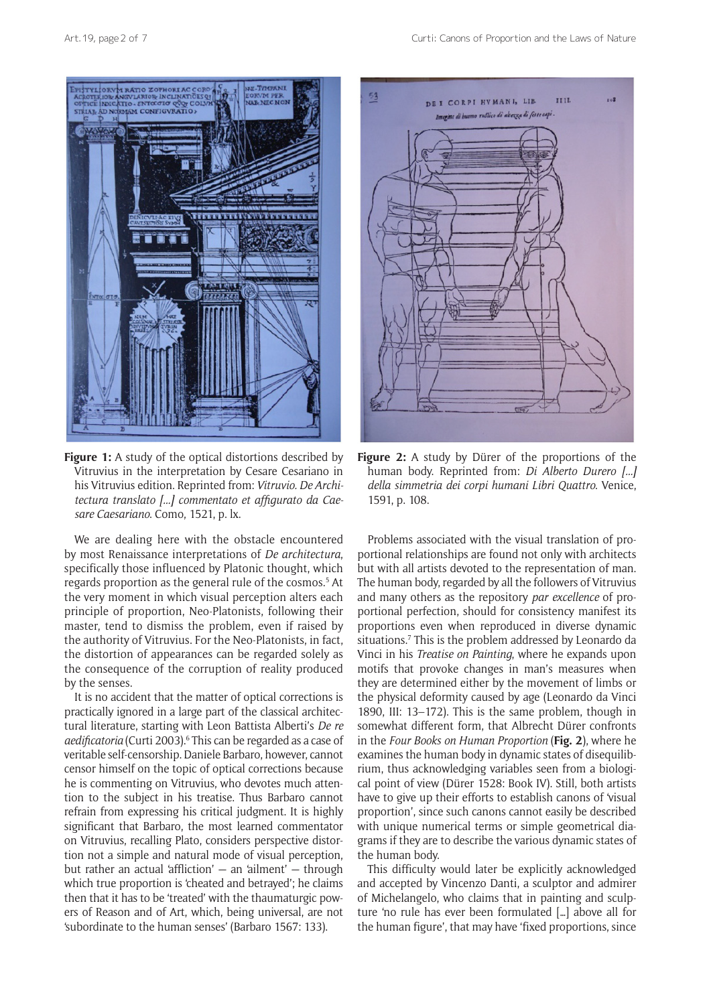

**Figure 1:** A study of the optical distortions described by Vitruvius in the interpretation by Cesare Cesariano in his Vitruvius edition. Reprinted from: *Vitruvio. De Architectura translato [...] commentato et affigurato da Caesare Caesariano*. Como, 1521, p. lx.

We are dealing here with the obstacle encountered by most Renaissance interpretations of *De architectura*, specifically those influenced by Platonic thought, which regards proportion as the general rule of the cosmos.<sup>5</sup> At the very moment in which visual perception alters each principle of proportion, Neo-Platonists, following their master, tend to dismiss the problem, even if raised by the authority of Vitruvius. For the Neo-Platonists, in fact, the distortion of appearances can be regarded solely as the consequence of the corruption of reality produced by the senses.

It is no accident that the matter of optical corrections is practically ignored in a large part of the classical architectural literature, starting with Leon Battista Alberti's *De re*  aedificatoria (Curti 2003).<sup>6</sup> This can be regarded as a case of veritable self-censorship. Daniele Barbaro, however, cannot censor himself on the topic of optical corrections because he is commenting on Vitruvius, who devotes much attention to the subject in his treatise. Thus Barbaro cannot refrain from expressing his critical judgment. It is highly significant that Barbaro, the most learned commentator on Vitruvius, recalling Plato, considers perspective distortion not a simple and natural mode of visual perception, but rather an actual 'affliction' — an 'ailment' — through which true proportion is 'cheated and betrayed'; he claims then that it has to be 'treated' with the thaumaturgic powers of Reason and of Art, which, being universal, are not 'subordinate to the human senses' (Barbaro 1567: 133).



**Figure 2:** A study by Dürer of the proportions of the human body. Reprinted from: *Di Alberto Durero [...] della simmetria dei corpi humani Libri Quattro*. Venice, 1591, p. 108.

Problems associated with the visual translation of proportional relationships are found not only with architects but with all artists devoted to the representation of man. The human body, regarded by all the followers of Vitruvius and many others as the repository *par excellence* of proportional perfection, should for consistency manifest its proportions even when reproduced in diverse dynamic situations.<sup>7</sup> This is the problem addressed by Leonardo da Vinci in his *Treatise on Painting*, where he expands upon motifs that provoke changes in man's measures when they are determined either by the movement of limbs or the physical deformity caused by age (Leonardo da Vinci 1890, III: 13–172). This is the same problem, though in somewhat different form, that Albrecht Dürer confronts in the *Four Books on Human Proportion* (**Fig. 2**), where he examines the human body in dynamic states of disequilibrium, thus acknowledging variables seen from a biological point of view (Dürer 1528: Book IV). Still, both artists have to give up their efforts to establish canons of 'visual proportion', since such canons cannot easily be described with unique numerical terms or simple geometrical diagrams if they are to describe the various dynamic states of the human body.

This difficulty would later be explicitly acknowledged and accepted by Vincenzo Danti, a sculptor and admirer of Michelangelo, who claims that in painting and sculpture 'no rule has ever been formulated […] above all for the human figure', that may have 'fixed proportions, since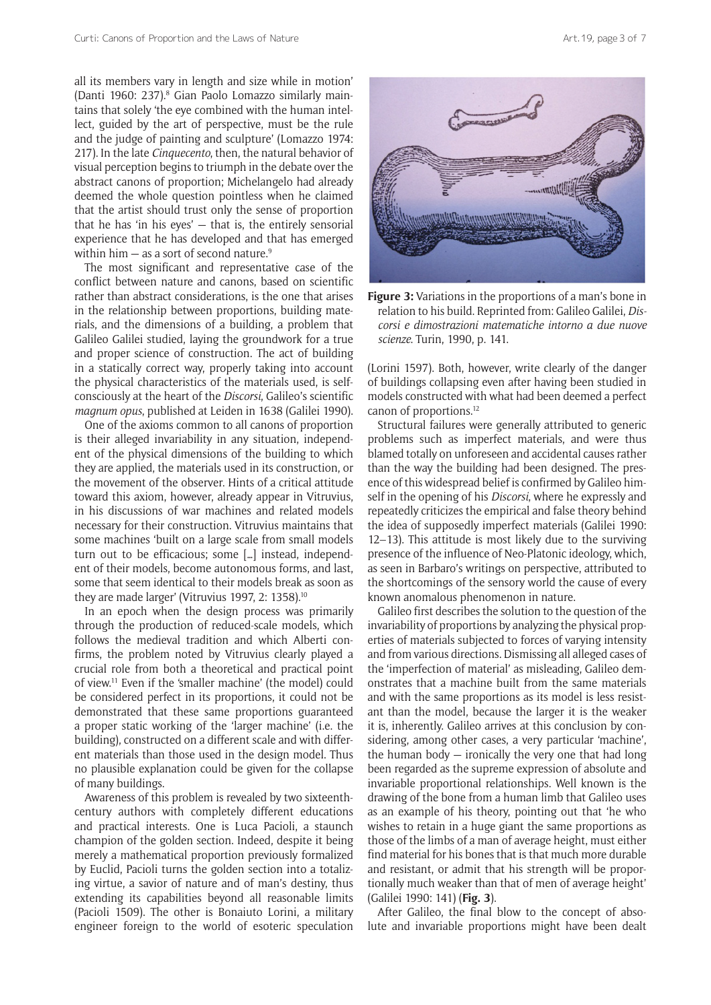all its members vary in length and size while in motion' (Danti 1960: 237).<sup>8</sup> Gian Paolo Lomazzo similarly maintains that solely 'the eye combined with the human intellect, guided by the art of perspective, must be the rule and the judge of painting and sculpture' (Lomazzo 1974: 217). In the late *Cinquecento*, then, the natural behavior of visual perception begins to triumph in the debate over the abstract canons of proportion; Michelangelo had already deemed the whole question pointless when he claimed that the artist should trust only the sense of proportion that he has 'in his eyes' — that is, the entirely sensorial experience that he has developed and that has emerged within him  $-$  as a sort of second nature.<sup>9</sup>

The most significant and representative case of the conflict between nature and canons, based on scientific rather than abstract considerations, is the one that arises in the relationship between proportions, building materials, and the dimensions of a building, a problem that Galileo Galilei studied, laying the groundwork for a true and proper science of construction. The act of building in a statically correct way, properly taking into account the physical characteristics of the materials used, is selfconsciously at the heart of the *Discorsi*, Galileo's scientific *magnum opus*, published at Leiden in 1638 (Galilei 1990).

One of the axioms common to all canons of proportion is their alleged invariability in any situation, independent of the physical dimensions of the building to which they are applied, the materials used in its construction, or the movement of the observer. Hints of a critical attitude toward this axiom, however, already appear in Vitruvius, in his discussions of war machines and related models necessary for their construction. Vitruvius maintains that some machines 'built on a large scale from small models turn out to be efficacious; some […] instead, independent of their models, become autonomous forms, and last, some that seem identical to their models break as soon as they are made larger' (Vitruvius 1997, 2: 1358).<sup>10</sup>

In an epoch when the design process was primarily through the production of reduced-scale models, which follows the medieval tradition and which Alberti confirms, the problem noted by Vitruvius clearly played a crucial role from both a theoretical and practical point of view.11 Even if the 'smaller machine' (the model) could be considered perfect in its proportions, it could not be demonstrated that these same proportions guaranteed a proper static working of the 'larger machine' (i.e. the building), constructed on a different scale and with different materials than those used in the design model. Thus no plausible explanation could be given for the collapse of many buildings.

Awareness of this problem is revealed by two sixteenthcentury authors with completely different educations and practical interests. One is Luca Pacioli, a staunch champion of the golden section. Indeed, despite it being merely a mathematical proportion previously formalized by Euclid, Pacioli turns the golden section into a totalizing virtue, a savior of nature and of man's destiny, thus extending its capabilities beyond all reasonable limits (Pacioli 1509). The other is Bonaiuto Lorini, a military engineer foreign to the world of esoteric speculation



**Figure 3:** Variations in the proportions of a man's bone in relation to his build. Reprinted from: Galileo Galilei, *Discorsi e dimostrazioni matematiche intorno a due nuove scienze*. Turin, 1990, p. 141.

(Lorini 1597). Both, however, write clearly of the danger of buildings collapsing even after having been studied in models constructed with what had been deemed a perfect canon of proportions.12

Structural failures were generally attributed to generic problems such as imperfect materials, and were thus blamed totally on unforeseen and accidental causes rather than the way the building had been designed. The presence of this widespread belief is confirmed by Galileo himself in the opening of his *Discorsi*, where he expressly and repeatedly criticizes the empirical and false theory behind the idea of supposedly imperfect materials (Galilei 1990: 12–13). This attitude is most likely due to the surviving presence of the influence of Neo-Platonic ideology, which, as seen in Barbaro's writings on perspective, attributed to the shortcomings of the sensory world the cause of every known anomalous phenomenon in nature.

Galileo first describes the solution to the question of the invariability of proportions by analyzing the physical properties of materials subjected to forces of varying intensity and from various directions. Dismissing all alleged cases of the 'imperfection of material' as misleading, Galileo demonstrates that a machine built from the same materials and with the same proportions as its model is less resistant than the model, because the larger it is the weaker it is, inherently. Galileo arrives at this conclusion by considering, among other cases, a very particular 'machine', the human body  $-$  ironically the very one that had long been regarded as the supreme expression of absolute and invariable proportional relationships. Well known is the drawing of the bone from a human limb that Galileo uses as an example of his theory, pointing out that 'he who wishes to retain in a huge giant the same proportions as those of the limbs of a man of average height, must either find material for his bones that is that much more durable and resistant, or admit that his strength will be proportionally much weaker than that of men of average height' (Galilei 1990: 141) (**Fig. 3**).

After Galileo, the final blow to the concept of absolute and invariable proportions might have been dealt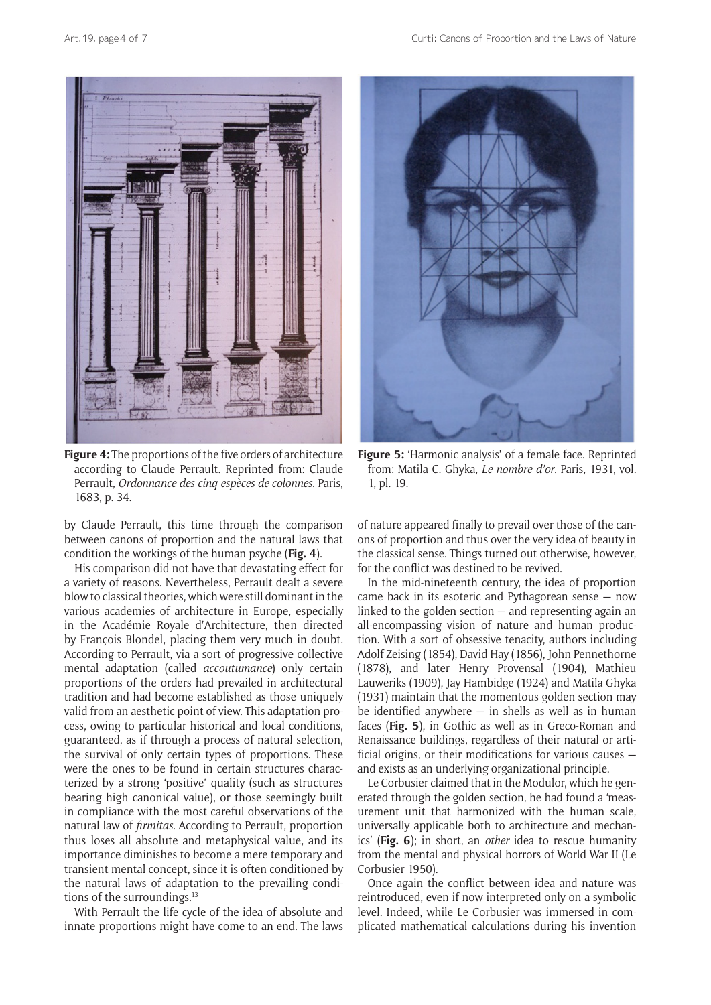

**Figure 4:** The proportions of the five orders of architecture according to Claude Perrault. Reprinted from: Claude Perrault, *Ordonnance des cinq espèces de colonnes*. Paris, 1683, p. 34.

by Claude Perrault, this time through the comparison between canons of proportion and the natural laws that condition the workings of the human psyche (**Fig. 4**).

His comparison did not have that devastating effect for a variety of reasons. Nevertheless, Perrault dealt a severe blow to classical theories, which were still dominant in the various academies of architecture in Europe, especially in the Académie Royale d'Architecture, then directed by François Blondel, placing them very much in doubt. According to Perrault, via a sort of progressive collective mental adaptation (called *accoutumance*) only certain proportions of the orders had prevailed in architectural tradition and had become established as those uniquely valid from an aesthetic point of view. This adaptation process, owing to particular historical and local conditions, guaranteed, as if through a process of natural selection, the survival of only certain types of proportions. These were the ones to be found in certain structures characterized by a strong 'positive' quality (such as structures bearing high canonical value), or those seemingly built in compliance with the most careful observations of the natural law of *firmitas*. According to Perrault, proportion thus loses all absolute and metaphysical value, and its importance diminishes to become a mere temporary and transient mental concept, since it is often conditioned by the natural laws of adaptation to the prevailing conditions of the surroundings.<sup>13</sup>

With Perrault the life cycle of the idea of absolute and innate proportions might have come to an end. The laws



**Figure 5:** 'Harmonic analysis' of a female face. Reprinted from: Matila C. Ghyka, *Le nombre d'or*. Paris, 1931, vol. 1, pl. 19.

of nature appeared finally to prevail over those of the canons of proportion and thus over the very idea of beauty in the classical sense. Things turned out otherwise, however, for the conflict was destined to be revived.

In the mid-nineteenth century, the idea of proportion came back in its esoteric and Pythagorean sense — now linked to the golden section — and representing again an all-encompassing vision of nature and human production. With a sort of obsessive tenacity, authors including Adolf Zeising (1854), David Hay (1856), John Pennethorne (1878), and later Henry Provensal (1904), Mathieu Lauweriks (1909), Jay Hambidge (1924) and Matila Ghyka (1931) maintain that the momentous golden section may be identified anywhere  $-$  in shells as well as in human faces (**Fig. 5**), in Gothic as well as in Greco-Roman and Renaissance buildings, regardless of their natural or artificial origins, or their modifications for various causes and exists as an underlying organizational principle.

Le Corbusier claimed that in the Modulor, which he generated through the golden section, he had found a 'measurement unit that harmonized with the human scale, universally applicable both to architecture and mechanics' (**Fig. 6**); in short, an *other* idea to rescue humanity from the mental and physical horrors of World War II (Le Corbusier 1950).

Once again the conflict between idea and nature was reintroduced, even if now interpreted only on a symbolic level. Indeed, while Le Corbusier was immersed in complicated mathematical calculations during his invention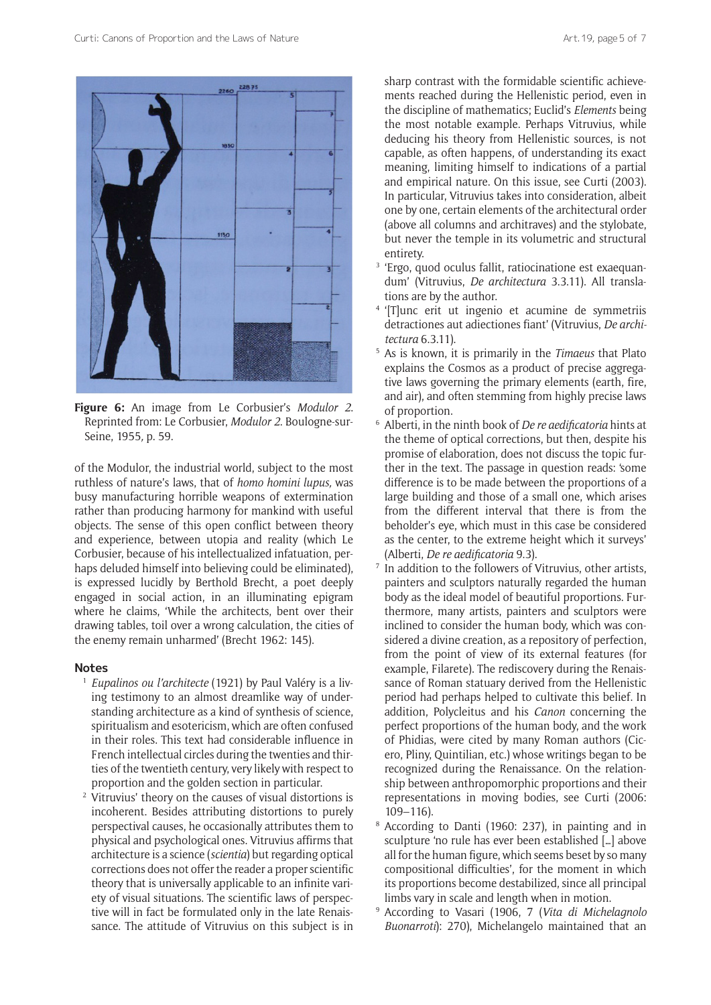

**Figure 6:** An image from Le Corbusier's *Modulor 2*. Reprinted from: Le Corbusier, *Modulor 2*. Boulogne-sur-Seine, 1955*,* p. 59.

of the Modulor, the industrial world, subject to the most ruthless of nature's laws, that of *homo homini lupus,* was busy manufacturing horrible weapons of extermination rather than producing harmony for mankind with useful objects. The sense of this open conflict between theory and experience, between utopia and reality (which Le Corbusier, because of his intellectualized infatuation, perhaps deluded himself into believing could be eliminated), is expressed lucidly by Berthold Brecht, a poet deeply engaged in social action, in an illuminating epigram where he claims, 'While the architects, bent over their drawing tables, toil over a wrong calculation, the cities of the enemy remain unharmed' (Brecht 1962: 145).

#### **Notes**

- <sup>1</sup> *Eupalinos ou l'architecte* (1921) by Paul Valéry is a living testimony to an almost dreamlike way of understanding architecture as a kind of synthesis of science, spiritualism and esotericism, which are often confused in their roles. This text had considerable influence in French intellectual circles during the twenties and thirties of the twentieth century, very likely with respect to proportion and the golden section in particular.
- <sup>2</sup> Vitruvius' theory on the causes of visual distortions is incoherent. Besides attributing distortions to purely perspectival causes, he occasionally attributes them to physical and psychological ones. Vitruvius affirms that architecture is a science (*scientia*) but regarding optical corrections does not offer the reader a proper scientific theory that is universally applicable to an infinite variety of visual situations. The scientific laws of perspective will in fact be formulated only in the late Renaissance. The attitude of Vitruvius on this subject is in

sharp contrast with the formidable scientific achievements reached during the Hellenistic period, even in the discipline of mathematics; Euclid's *Elements* being the most notable example. Perhaps Vitruvius, while deducing his theory from Hellenistic sources, is not capable, as often happens, of understanding its exact meaning, limiting himself to indications of a partial and empirical nature. On this issue, see Curti (2003). In particular, Vitruvius takes into consideration, albeit one by one, certain elements of the architectural order (above all columns and architraves) and the stylobate, but never the temple in its volumetric and structural entirety.

- <sup>3</sup> 'Ergo, quod oculus fallit, ratiocinatione est exaequandum' (Vitruvius, *De architectura* 3.3.11). All translations are by the author.
- <sup>4</sup> '[T]unc erit ut ingenio et acumine de symmetriis detractiones aut adiectiones fiant' (Vitruvius, *De architectura* 6.3.11).
- <sup>5</sup> As is known, it is primarily in the *Timaeus* that Plato explains the Cosmos as a product of precise aggregative laws governing the primary elements (earth, fire, and air), and often stemming from highly precise laws of proportion.
- <sup>6</sup> Alberti, in the ninth book of *De re aedificatoria* hints at the theme of optical corrections, but then, despite his promise of elaboration, does not discuss the topic further in the text. The passage in question reads: 'some difference is to be made between the proportions of a large building and those of a small one, which arises from the different interval that there is from the beholder's eye, which must in this case be considered as the center, to the extreme height which it surveys' (Alberti, *De re aedificatoria* 9.3).
- $7$  In addition to the followers of Vitruvius, other artists, painters and sculptors naturally regarded the human body as the ideal model of beautiful proportions. Furthermore, many artists, painters and sculptors were inclined to consider the human body, which was considered a divine creation, as a repository of perfection, from the point of view of its external features (for example, Filarete). The rediscovery during the Renaissance of Roman statuary derived from the Hellenistic period had perhaps helped to cultivate this belief. In addition, Polycleitus and his *Canon* concerning the perfect proportions of the human body, and the work of Phidias, were cited by many Roman authors (Cicero, Pliny, Quintilian, etc.) whose writings began to be recognized during the Renaissance. On the relationship between anthropomorphic proportions and their representations in moving bodies, see Curti (2006: 109–116).
- <sup>8</sup> According to Danti (1960: 237), in painting and in sculpture 'no rule has ever been established […] above all for the human figure, which seems beset by so many compositional difficulties', for the moment in which its proportions become destabilized, since all principal limbs vary in scale and length when in motion.
- <sup>9</sup> According to Vasari (1906, 7 (*Vita di Michelagnolo Buonarroti*): 270), Michelangelo maintained that an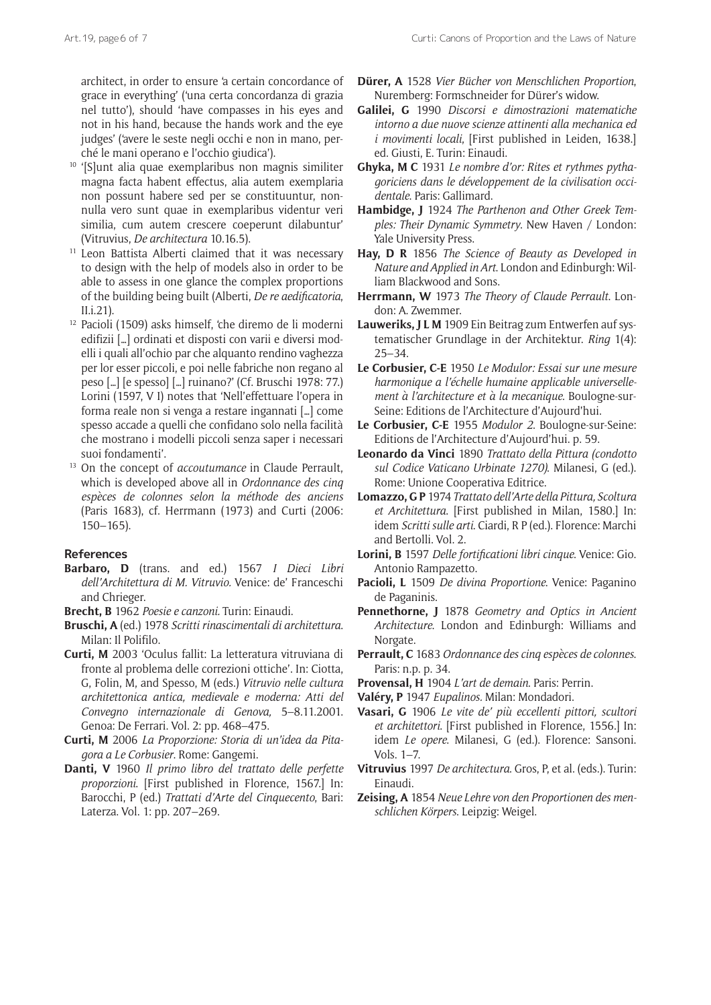architect, in order to ensure 'a certain concordance of grace in everything' ('una certa concordanza di grazia nel tutto'), should 'have compasses in his eyes and not in his hand, because the hands work and the eye judges' ('avere le seste negli occhi e non in mano, per-

- ché le mani operano e l'occhio giudica'). 10 '[S]unt alia quae exemplaribus non magnis similiter magna facta habent effectus, alia autem exemplaria non possunt habere sed per se constituuntur, nonnulla vero sunt quae in exemplaribus videntur veri similia, cum autem crescere coeperunt dilabuntur'
- (Vitruvius, *De architectura* 10.16.5). 11 Leon Battista Alberti claimed that it was necessary to design with the help of models also in order to be able to assess in one glance the complex proportions of the building being built (Alberti, *De re aedificatoria*, II.i.21).
- <sup>12</sup> Pacioli (1509) asks himself, 'che diremo de li moderni edifizii […] ordinati et disposti con varii e diversi modelli i quali all'ochio par che alquanto rendino vaghezza per lor esser piccoli, e poi nelle fabriche non regano al peso […] [e spesso] […] ruinano?' (Cf. Bruschi 1978: 77.) Lorini (1597, V I) notes that 'Nell'effettuare l'opera in forma reale non si venga a restare ingannati […] come spesso accade a quelli che confidano solo nella facilità che mostrano i modelli piccoli senza saper i necessari suoi fondamenti'.
- <sup>13</sup> On the concept of *accoutumance* in Claude Perrault, which is developed above all in *Ordonnance des cinq espèces de colonnes selon la méthode des anciens*  (Paris 1683), cf. Herrmann (1973) and Curti (2006: 150–165).

### **References**

- **Barbaro, D** (trans. and ed.) 1567 *I Dieci Libri dell'Architettura di M. Vitruvio.* Venice: de' Franceschi and Chrieger.
- **Brecht, B** 1962 *Poesie e canzoni.* Turin: Einaudi.
- **Bruschi, A** (ed.) 1978 *Scritti rinascimentali di architettura*. Milan: Il Polifilo.
- **Curti, M** 2003 'Oculus fallit: La letteratura vitruviana di fronte al problema delle correzioni ottiche'. In: Ciotta, G, Folin, M, and Spesso, M (eds.) *Vitruvio nelle cultura architettonica antica, medievale e moderna: Atti del Convegno internazionale di Genova,* 5–8.11.2001. Genoa: De Ferrari. Vol. 2: pp. 468–475.
- **Curti, M** 2006 *La Proporzione: Storia di un'idea da Pitagora a Le Corbusier*. Rome: Gangemi.
- **Danti, V** 1960 *Il primo libro del trattato delle perfette proporzioni*. [First published in Florence, 1567.] In: Barocchi, P (ed.) *Trattati d'Arte del Cinquecento*, Bari: Laterza. Vol. 1: pp. 207–269.
- **Dürer, A** 1528 *Vier Bücher von Menschlichen Proportion*, Nuremberg: Formschneider for Dürer's widow.
- **Galilei, G** 1990 *Discorsi e dimostrazioni matematiche intorno a due nuove scienze attinenti alla mechanica ed i movimenti locali*, [First published in Leiden, 1638.] ed. Giusti, E. Turin: Einaudi.
- **Ghyka, M C** 1931 *Le nombre d'or: Rites et rythmes pythagoriciens dans le développement de la civilisation occidentale*. Paris: Gallimard.
- **Hambidge, J** 1924 *The Parthenon and Other Greek Temples: Their Dynamic Symmetry*. New Haven / London: Yale University Press.
- **Hay, D R** 1856 *The Science of Beauty as Developed in Nature and Applied in Art*. London and Edinburgh: William Blackwood and Sons.
- **Herrmann, W** 1973 *The Theory of Claude Perrault*. London: A. Zwemmer.
- **Lauweriks, J L M** 1909 Ein Beitrag zum Entwerfen auf systematischer Grundlage in der Architektur. *Ring* 1(4): 25–34.
- **Le Corbusier, C-E** 1950 *Le Modulor: Essai sur une mesure harmonique a l'échelle humaine applicable universellement à l'architecture et à la mecanique*. Boulogne-sur-Seine: Editions de l'Architecture d'Aujourd'hui.
- **Le Corbusier, C-E** 1955 *Modulor 2*. Boulogne-sur-Seine: Editions de l'Architecture d'Aujourd'hui. p. 59.
- **Leonardo da Vinci** 1890 *Trattato della Pittura (condotto sul Codice Vaticano Urbinate 1270)*. Milanesi, G (ed.). Rome: Unione Cooperativa Editrice.
- **Lomazzo, G P** 1974 *Trattato dell'Arte della Pittura, Scoltura et Architettura*. [First published in Milan, 1580.] In: idem *Scritti sulle arti*. Ciardi, R P (ed.). Florence: Marchi and Bertolli. Vol. 2.
- **Lorini, B** 1597 *Delle fortificationi libri cinque*. Venice: Gio. Antonio Rampazetto.
- **Pacioli, L** 1509 *De divina Proportione*. Venice: Paganino de Paganinis.
- **Pennethorne, J** 1878 *Geometry and Optics in Ancient Architecture*. London and Edinburgh: Williams and Norgate.
- **Perrault, C** 1683 *Ordonnance des cinq espèces de colonnes*. Paris: n.p. p. 34.
- **Provensal, H** 1904 *L'art de demain*. Paris: Perrin.
- **Valéry, P** 1947 *Eupalinos.* Milan: Mondadori.
- **Vasari, G** 1906 *Le vite de' più eccellenti pittori, scultori et architettori*. [First published in Florence, 1556.] In: idem *Le opere*. Milanesi, G (ed.). Florence: Sansoni. Vols. 1–7.
- **Vitruvius** 1997 *De architectura*. Gros, P, et al. (eds.). Turin: Einaudi.
- **Zeising, A** 1854 *Neue Lehre von den Proportionen des menschlichen Körpers*. Leipzig: Weigel.